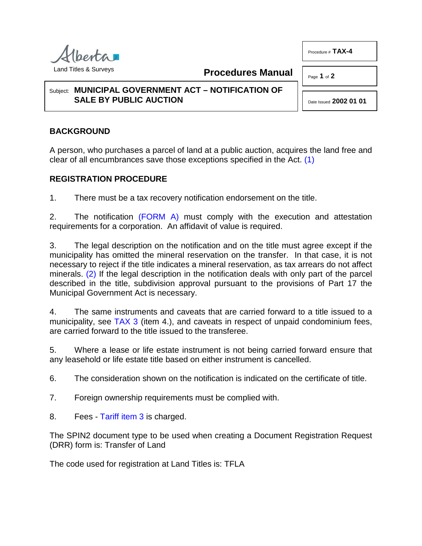

**Procedures Manual**

## Subject: **MUNICIPAL GOVERNMENT ACT – NOTIFICATION OF SALE BY PUBLIC AUCTION**

<span id="page-0-0"></span>Date Issued **2002 01 01**

Procedure # **TAX-4**

Page **1** of **2**

## **BACKGROUND**

A person, who purchases a parcel of land at a public auction, acquires the land free and clear of all encumbrances save those exceptions specified in the Act. [\(1\)](#page-1-0)

## **REGISTRATION PROCEDURE**

1. There must be a tax recovery notification endorsement on the title.

2. The notification [\(FORM A\)](http://www.servicealberta.ca/pdf/ltmanual/TAX-4-FORMA.PDF) must comply with the execution and attestation requirements for a corporation. An affidavit of value is required.

<span id="page-0-1"></span>3. The legal description on the notification and on the title must agree except if the municipality has omitted the mineral reservation on the transfer. In that case, it is not necessary to reject if the title indicates a mineral reservation, as tax arrears do not affect minerals. [\(2\)](#page-1-1) If the legal description in the notification deals with only part of the parcel described in the title, subdivision approval pursuant to the provisions of Part 17 the Municipal Government Act is necessary.

4. The same instruments and caveats that are carried forward to a title issued to a municipality, see [TAX 3](http://www.servicealberta.ca/pdf/ltmanual/TAX-3.PDF) (item 4.), and caveats in respect of unpaid condominium fees, are carried forward to the title issued to the transferee.

5. Where a lease or life estate instrument is not being carried forward ensure that any leasehold or life estate title based on either instrument is cancelled.

6. The consideration shown on the notification is indicated on the certificate of title.

- 7. Foreign ownership requirements must be complied with.
- 8. Fees [Tariff item 3](http://www.servicealberta.ca/pdf/ltmanual/APPENDIXI.PDF) is charged.

The SPIN2 document type to be used when creating a Document Registration Request (DRR) form is: Transfer of Land

The code used for registration at Land Titles is: TFLA